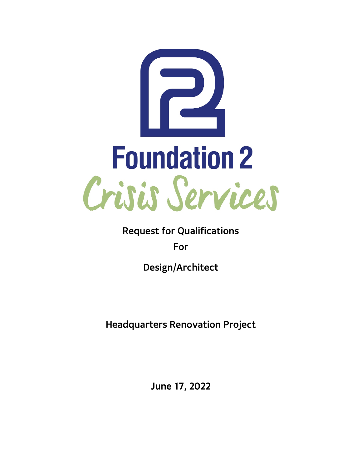

**Request for Qualifications**

**For**

**Design/Architect**

**Headquarters Renovation Project**

**June 17, 2022**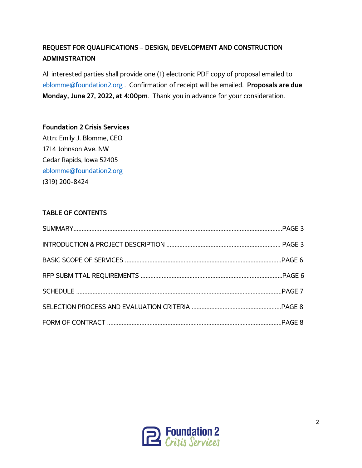# **REQUEST FOR QUALIFICATIONS – DESIGN, DEVELOPMENT AND CONSTRUCTION ADMINISTRATION**

All interested parties shall provide one (1) electronic PDF copy of proposal emailed to [eblomme@foundation2.org](mailto:eblomme@foundation2.org) . Confirmation of receipt will be emailed. **Proposals are due Monday, June 27, 2022, at 4:00pm**. Thank you in advance for your consideration.

**Foundation 2 Crisis Services** Attn: Emily J. Blomme, CEO 1714 Johnson Ave. NW Cedar Rapids, Iowa 52405 [eblomme@foundation2.org](mailto:eblomme@foundation2.org) (319) 200-8424

## **TABLE OF CONTENTS**

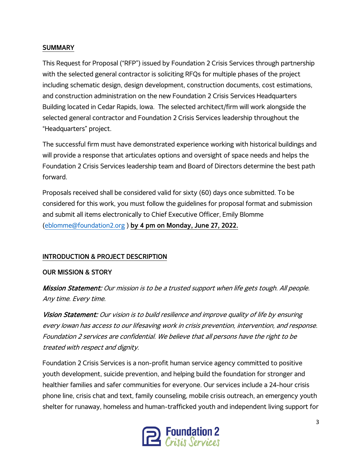#### **SUMMARY**

This Request for Proposal ("RFP") issued by Foundation 2 Crisis Services through partnership with the selected general contractor is soliciting RFQs for multiple phases of the project including schematic design, design development, construction documents, cost estimations, and construction administration on the new Foundation 2 Crisis Services Headquarters Building located in Cedar Rapids, Iowa. The selected architect/firm will work alongside the selected general contractor and Foundation 2 Crisis Services leadership throughout the "Headquarters" project.

The successful firm must have demonstrated experience working with historical buildings and will provide a response that articulates options and oversight of space needs and helps the Foundation 2 Crisis Services leadership team and Board of Directors determine the best path forward.

Proposals received shall be considered valid for sixty (60) days once submitted. To be considered for this work, you must follow the guidelines for proposal format and submission and submit all items electronically to Chief Executive Officer, Emily Blomme [\(eblomme@foundation2.org](mailto:eblomme@foundation2.org) ) **by 4 pm on Monday, June 27, 2022.**

### **INTRODUCTION & PROJECT DESCRIPTION**

### **OUR MISSION & STORY**

Mission Statement: Our mission is to be a trusted support when life gets tough. All people. Any time. Every time.

Vision Statement: Our vision is to build resilience and improve quality of life by ensuring every Iowan has access to our lifesaving work in crisis prevention, intervention, and response. Foundation 2 services are confidential. We believe that all persons have the right to be treated with respect and dignity.

Foundation 2 Crisis Services is a non-profit human service agency committed to positive youth development, suicide prevention, and helping build the foundation for stronger and healthier families and safer communities for everyone. Our services include a 24-hour crisis phone line, crisis chat and text, family counseling, mobile crisis outreach, an emergency youth shelter for runaway, homeless and human-trafficked youth and independent living support for

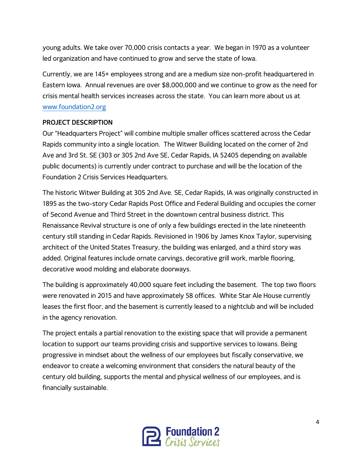young adults. We take over 70,000 crisis contacts a year. We began in 1970 as a volunteer led organization and have continued to grow and serve the state of Iowa.

Currently, we are 145+ employees strong and are a medium size non-profit headquartered in Eastern Iowa. Annual revenues are over \$8,000,000 and we continue to grow as the need for crisis mental health services increases across the state. You can learn more about us at [www.foundation2.org](http://www.foundation2.org/)

### **PROJECT DESCRIPTION**

Our "Headquarters Project" will combine multiple smaller offices scattered across the Cedar Rapids community into a single location. The Witwer Building located on the corner of 2nd Ave and 3rd St. SE (303 or 305 2nd Ave SE, Cedar Rapids, IA 52405 depending on available public documents) is currently under contract to purchase and will be the location of the Foundation 2 Crisis Services Headquarters.

The historic Witwer Building at 305 2nd Ave. SE, Cedar Rapids, IA was originally constructed in 1895 as the two-story Cedar Rapids Post Office and Federal Building and occupies the corner of Second Avenue and Third Street in the downtown central business district. This Renaissance Revival structure is one of only a few buildings erected in the late nineteenth century still standing in Cedar Rapids. Revisioned in 1906 by James Knox Taylor, supervising architect of the United States Treasury, the building was enlarged, and a third story was added. Original features include ornate carvings, decorative grill work, marble flooring, decorative wood molding and elaborate doorways.

The building is approximately 40,000 square feet including the basement. The top two floors were renovated in 2015 and have approximately 58 offices. White Star Ale House currently leases the first floor, and the basement is currently leased to a nightclub and will be included in the agency renovation.

The project entails a partial renovation to the existing space that will provide a permanent location to support our teams providing crisis and supportive services to Iowans. Being progressive in mindset about the wellness of our employees but fiscally conservative, we endeavor to create a welcoming environment that considers the natural beauty of the century old building, supports the mental and physical wellness of our employees, and is financially sustainable.

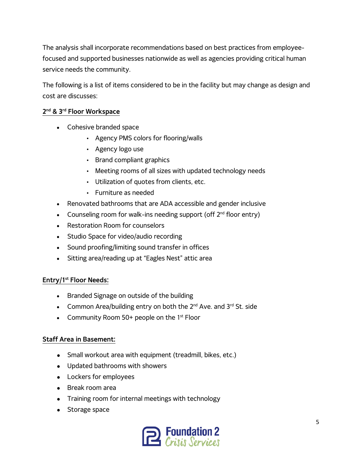The analysis shall incorporate recommendations based on best practices from employeefocused and supported businesses nationwide as well as agencies providing critical human service needs the community.

The following is a list of items considered to be in the facility but may change as design and cost are discusses:

## **2nd & 3rd Floor Workspace**

- Cohesive branded space
	- Agency PMS colors for flooring/walls
	- Agency logo use
	- Brand compliant graphics
	- Meeting rooms of all sizes with updated technology needs
	- Utilization of quotes from clients, etc.
	- Furniture as needed
- Renovated bathrooms that are ADA accessible and gender inclusive
- Counseling room for walk-ins needing support (off  $2<sup>nd</sup>$  floor entry)
- Restoration Room for counselors
- Studio Space for video/audio recording
- Sound proofing/limiting sound transfer in offices
- Sitting area/reading up at "Eagles Nest" attic area

### **Entry/1st Floor Needs:**

- Branded Signage on outside of the building
- Common Area/building entry on both the  $2^{nd}$  Ave. and  $3^{rd}$  St. side
- Community Room 50+ people on the  $1<sup>st</sup>$  Floor

### **Staff Area in Basement:**

- Small workout area with equipment (treadmill, bikes, etc.)
- Updated bathrooms with showers
- Lockers for employees
- Break room area
- Training room for internal meetings with technology
- Storage space

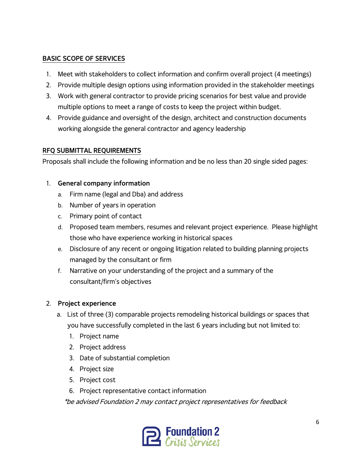## **BASIC SCOPE OF SERVICES**

- 1. Meet with stakeholders to collect information and confirm overall project (4 meetings)
- 2. Provide multiple design options using information provided in the stakeholder meetings
- 3. Work with general contractor to provide pricing scenarios for best value and provide multiple options to meet a range of costs to keep the project within budget.
- 4. Provide guidance and oversight of the design, architect and construction documents working alongside the general contractor and agency leadership

## **RFQ SUBMITTAL REQUIREMENTS**

Proposals shall include the following information and be no less than 20 single sided pages:

## 1. **General company information**

- a. Firm name (legal and Dba) and address
- b. Number of years in operation
- c. Primary point of contact
- d. Proposed team members, resumes and relevant project experience. Please highlight those who have experience working in historical spaces
- e. Disclosure of any recent or ongoing litigation related to building planning projects managed by the consultant or firm
- f. Narrative on your understanding of the project and a summary of the consultant/firm's objectives

# 2. **Project experience**

- a. List of three (3) comparable projects remodeling historical buildings or spaces that you have successfully completed in the last 6 years including but not limited to:
	- 1. Project name
	- 2. Project address
	- 3. Date of substantial completion
	- 4. Project size
	- 5. Project cost
	- 6. Project representative contact information

\*be advised Foundation 2 may contact project representatives for feedback

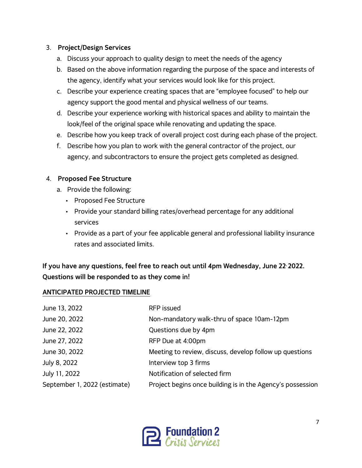## 3. **Project/Design Services**

- a. Discuss your approach to quality design to meet the needs of the agency
- b. Based on the above information regarding the purpose of the space and interests of the agency, identify what your services would look like for this project.
- c. Describe your experience creating spaces that are "employee focused" to help our agency support the good mental and physical wellness of our teams.
- d. Describe your experience working with historical spaces and ability to maintain the look/feel of the original space while renovating and updating the space.
- e. Describe how you keep track of overall project cost during each phase of the project.
- f. Describe how you plan to work with the general contractor of the project, our agency, and subcontractors to ensure the project gets completed as designed.

## 4. **Proposed Fee Structure**

- a. Provide the following:
	- Proposed Fee Structure
	- Provide your standard billing rates/overhead percentage for any additional services
	- Provide as a part of your fee applicable general and professional liability insurance rates and associated limits.

# **If you have any questions, feel free to reach out until 4pm Wednesday, June 22, 2022. Questions will be responded to as they come in!**

### **ANTICIPATED PROJECTED TIMELINE**

| June 13, 2022                | <b>RFP</b> issued                                          |
|------------------------------|------------------------------------------------------------|
| June 20, 2022                | Non-mandatory walk-thru of space 10am-12pm                 |
| June 22, 2022                | Questions due by 4pm                                       |
| June 27, 2022                | RFP Due at 4:00pm                                          |
| June 30, 2022                | Meeting to review, discuss, develop follow up questions    |
| July 8, 2022                 | Interview top 3 firms                                      |
| July 11, 2022                | Notification of selected firm                              |
| September 1, 2022 (estimate) | Project begins once building is in the Agency's possession |